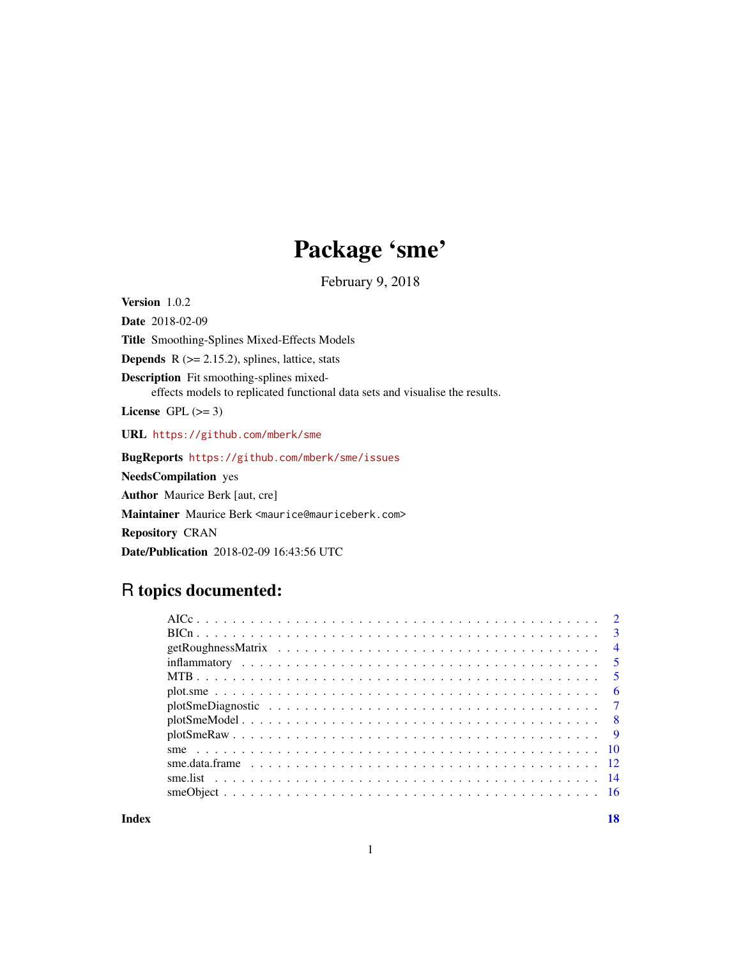# Package 'sme'

February 9, 2018

Version 1.0.2 Date 2018-02-09 Title Smoothing-Splines Mixed-Effects Models **Depends**  $R$  ( $>= 2.15.2$ ), splines, lattice, stats Description Fit smoothing-splines mixedeffects models to replicated functional data sets and visualise the results. License GPL  $(>= 3)$ URL <https://github.com/mberk/sme> BugReports <https://github.com/mberk/sme/issues> NeedsCompilation yes Author Maurice Berk [aut, cre] Maintainer Maurice Berk <maurice@mauriceberk.com> Repository CRAN Date/Publication 2018-02-09 16:43:56 UTC

# R topics documented:

|  | $\overline{4}$ |
|--|----------------|
|  |                |
|  |                |
|  |                |
|  |                |
|  |                |
|  |                |
|  |                |
|  |                |
|  |                |
|  |                |
|  |                |

**Index** 2008 **[18](#page-17-0)**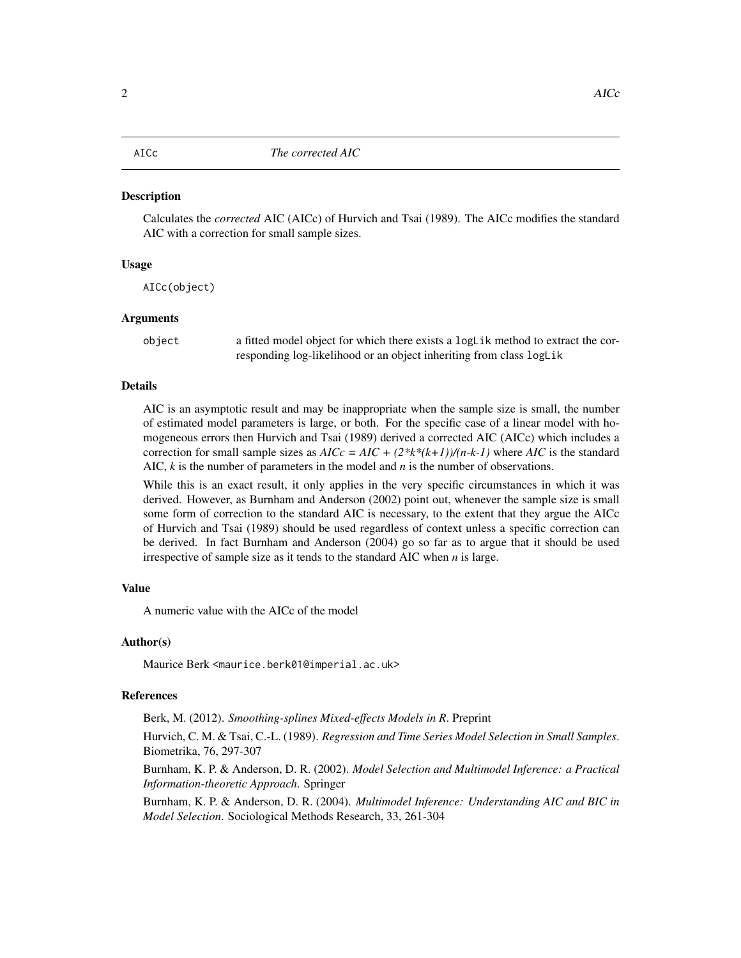<span id="page-1-0"></span>

#### Description

Calculates the *corrected* AIC (AICc) of Hurvich and Tsai (1989). The AICc modifies the standard AIC with a correction for small sample sizes.

## Usage

AICc(object)

#### Arguments

object a fitted model object for which there exists a logLik method to extract the corresponding log-likelihood or an object inheriting from class logLik

## Details

AIC is an asymptotic result and may be inappropriate when the sample size is small, the number of estimated model parameters is large, or both. For the specific case of a linear model with homogeneous errors then Hurvich and Tsai (1989) derived a corrected AIC (AICc) which includes a correction for small sample sizes as  $AICc = AIC + (2*k*(k+1))/(n-k-1)$  where  $AIC$  is the standard AIC, *k* is the number of parameters in the model and *n* is the number of observations.

While this is an exact result, it only applies in the very specific circumstances in which it was derived. However, as Burnham and Anderson (2002) point out, whenever the sample size is small some form of correction to the standard AIC is necessary, to the extent that they argue the AICc of Hurvich and Tsai (1989) should be used regardless of context unless a specific correction can be derived. In fact Burnham and Anderson (2004) go so far as to argue that it should be used irrespective of sample size as it tends to the standard AIC when *n* is large.

#### Value

A numeric value with the AICc of the model

## Author(s)

Maurice Berk <maurice.berk01@imperial.ac.uk>

#### References

Berk, M. (2012). *Smoothing-splines Mixed-effects Models in R*. Preprint

Hurvich, C. M. & Tsai, C.-L. (1989). *Regression and Time Series Model Selection in Small Samples*. Biometrika, 76, 297-307

Burnham, K. P. & Anderson, D. R. (2002). *Model Selection and Multimodel Inference: a Practical Information-theoretic Approach*. Springer

Burnham, K. P. & Anderson, D. R. (2004). *Multimodel Inference: Understanding AIC and BIC in Model Selection*. Sociological Methods Research, 33, 261-304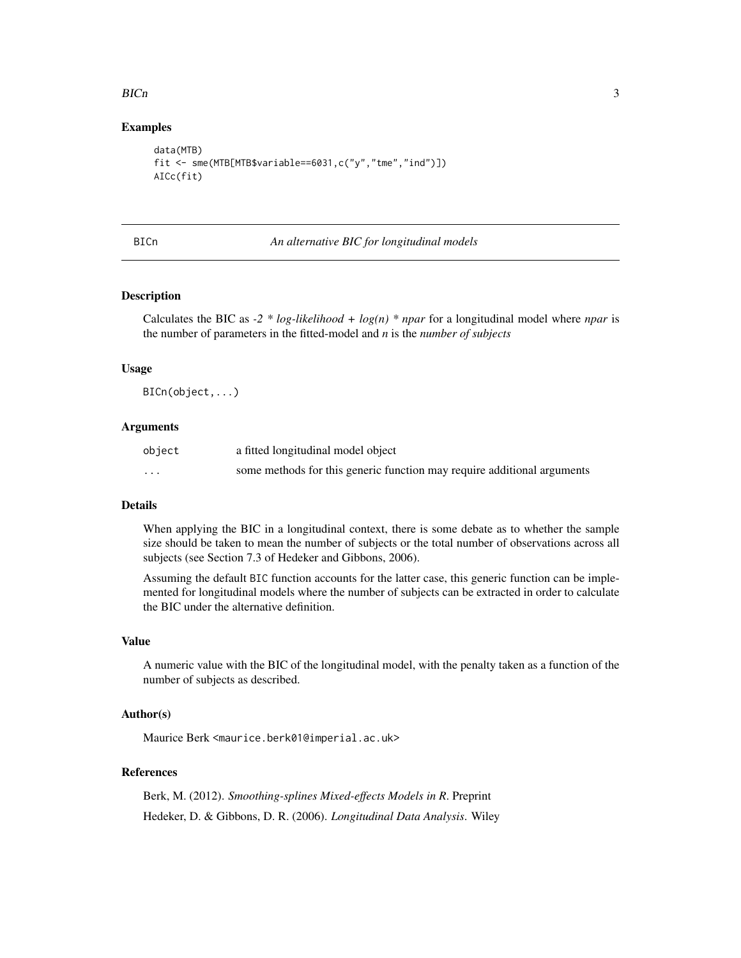#### <span id="page-2-0"></span> $BICn$  3

## Examples

```
data(MTB)
fit <- sme(MTB[MTB$variable==6031,c("y","tme","ind")])
AICc(fit)
```
## BICn *An alternative BIC for longitudinal models*

#### Description

Calculates the BIC as  $-2 * log-likelihood + log(n) * npar$  for a longitudinal model where *npar* is the number of parameters in the fitted-model and *n* is the *number of subjects*

## Usage

BICn(object,...)

#### Arguments

| object  | a fitted longitudinal model object                                      |
|---------|-------------------------------------------------------------------------|
| $\cdot$ | some methods for this generic function may require additional arguments |

## Details

When applying the BIC in a longitudinal context, there is some debate as to whether the sample size should be taken to mean the number of subjects or the total number of observations across all subjects (see Section 7.3 of Hedeker and Gibbons, 2006).

Assuming the default BIC function accounts for the latter case, this generic function can be implemented for longitudinal models where the number of subjects can be extracted in order to calculate the BIC under the alternative definition.

#### Value

A numeric value with the BIC of the longitudinal model, with the penalty taken as a function of the number of subjects as described.

#### Author(s)

Maurice Berk <maurice.berk01@imperial.ac.uk>

#### References

Berk, M. (2012). *Smoothing-splines Mixed-effects Models in R*. Preprint Hedeker, D. & Gibbons, D. R. (2006). *Longitudinal Data Analysis*. Wiley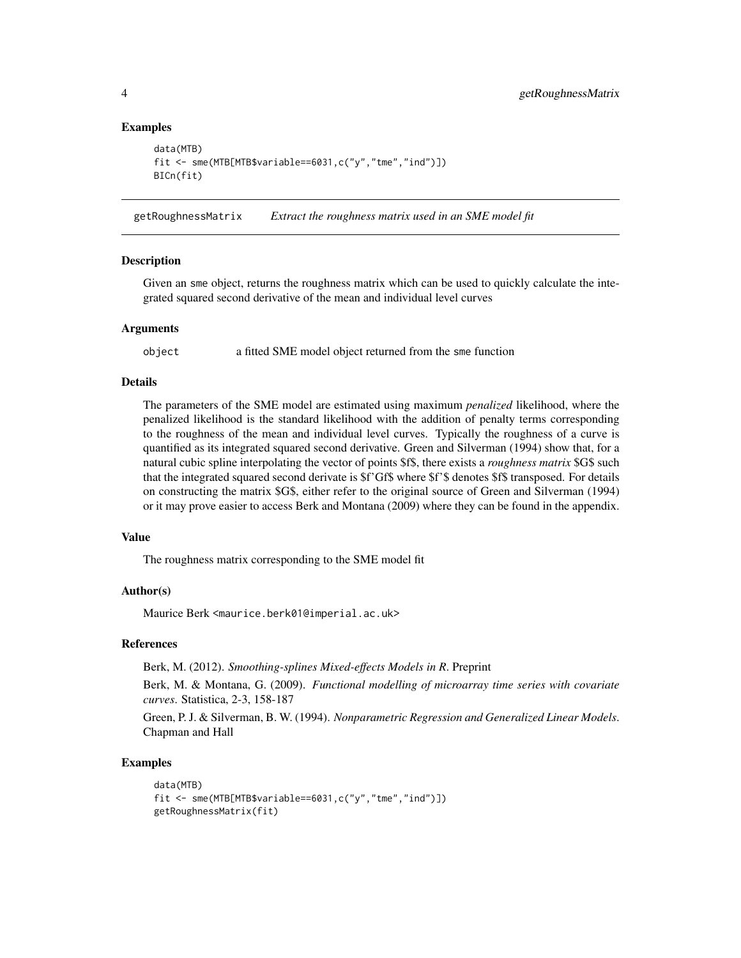#### Examples

```
data(MTB)
fit \leq sme(MTB[MTB$variable==6031,c("y","tme","ind")])
BICn(fit)
```
getRoughnessMatrix *Extract the roughness matrix used in an SME model fit*

#### Description

Given an sme object, returns the roughness matrix which can be used to quickly calculate the integrated squared second derivative of the mean and individual level curves

## Arguments

object a fitted SME model object returned from the sme function

#### Details

The parameters of the SME model are estimated using maximum *penalized* likelihood, where the penalized likelihood is the standard likelihood with the addition of penalty terms corresponding to the roughness of the mean and individual level curves. Typically the roughness of a curve is quantified as its integrated squared second derivative. Green and Silverman (1994) show that, for a natural cubic spline interpolating the vector of points \$f\$, there exists a *roughness matrix* \$G\$ such that the integrated squared second derivate is \$f'Gf\$ where \$f'\$ denotes \$f\$ transposed. For details on constructing the matrix \$G\$, either refer to the original source of Green and Silverman (1994) or it may prove easier to access Berk and Montana (2009) where they can be found in the appendix.

#### Value

The roughness matrix corresponding to the SME model fit

## Author(s)

Maurice Berk <maurice.berk01@imperial.ac.uk>

## References

Berk, M. (2012). *Smoothing-splines Mixed-effects Models in R*. Preprint

Berk, M. & Montana, G. (2009). *Functional modelling of microarray time series with covariate curves*. Statistica, 2-3, 158-187

Green, P. J. & Silverman, B. W. (1994). *Nonparametric Regression and Generalized Linear Models*. Chapman and Hall

#### Examples

```
data(MTB)
fit <- sme(MTB[MTB$variable==6031,c("y","tme","ind")])
getRoughnessMatrix(fit)
```
<span id="page-3-0"></span>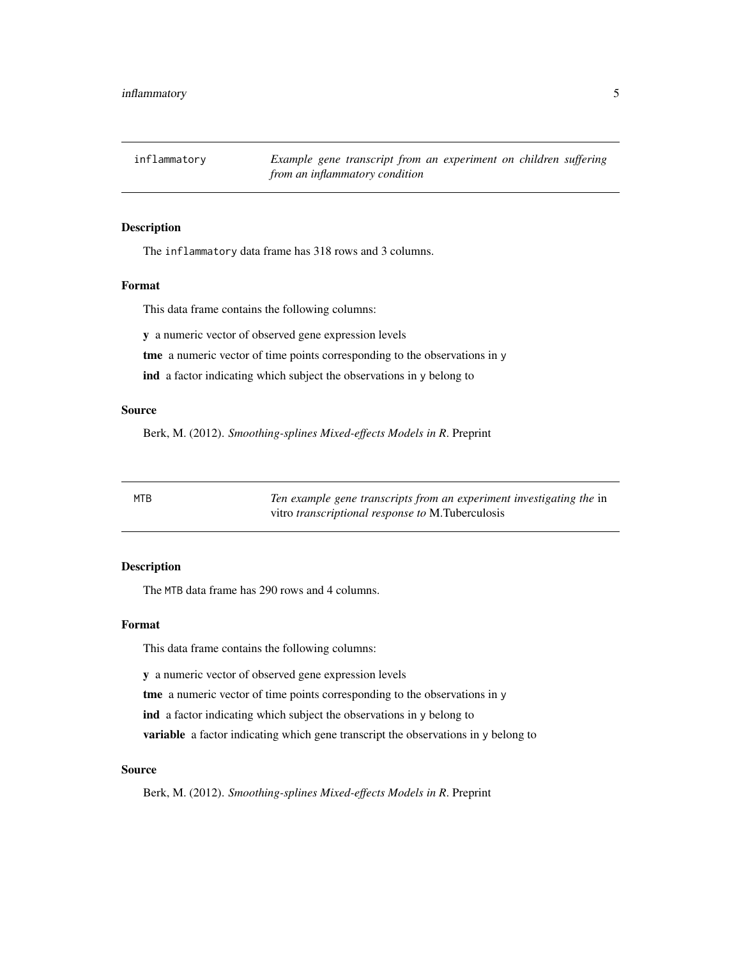<span id="page-4-0"></span>inflammatory *Example gene transcript from an experiment on children suffering from an inflammatory condition*

## Description

The inflammatory data frame has 318 rows and 3 columns.

## Format

This data frame contains the following columns:

y a numeric vector of observed gene expression levels

tme a numeric vector of time points corresponding to the observations in y

ind a factor indicating which subject the observations in y belong to

#### Source

Berk, M. (2012). *Smoothing-splines Mixed-effects Models in R*. Preprint

MTB *Ten example gene transcripts from an experiment investigating the* in vitro *transcriptional response to* M.Tuberculosis

## Description

The MTB data frame has 290 rows and 4 columns.

## Format

This data frame contains the following columns:

y a numeric vector of observed gene expression levels

tme a numeric vector of time points corresponding to the observations in y

ind a factor indicating which subject the observations in y belong to

variable a factor indicating which gene transcript the observations in y belong to

#### Source

Berk, M. (2012). *Smoothing-splines Mixed-effects Models in R*. Preprint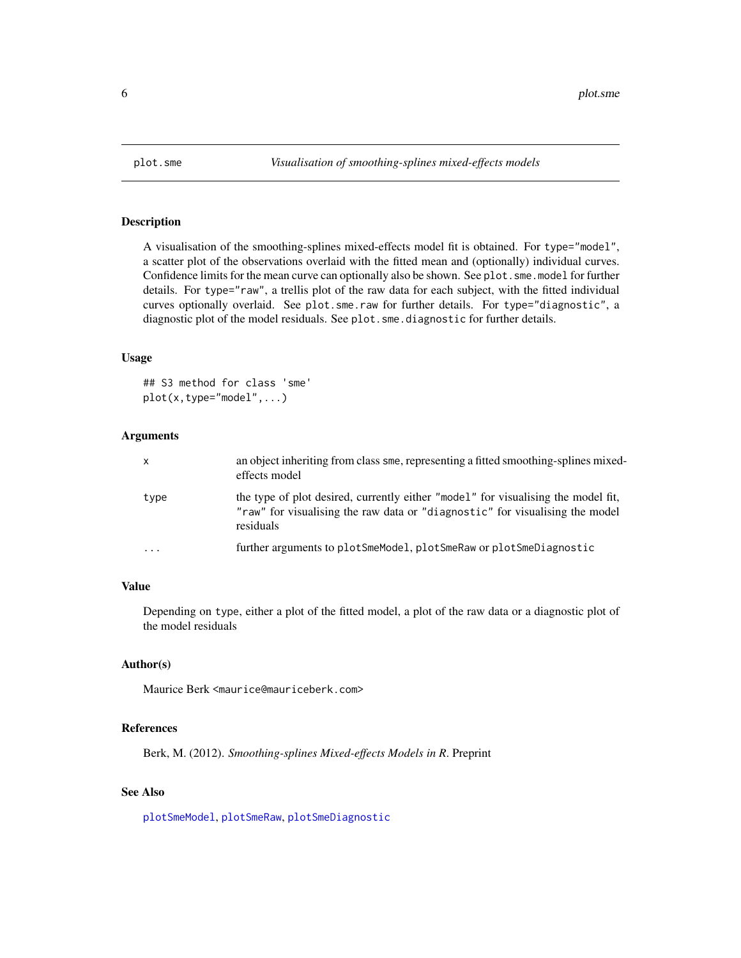<span id="page-5-1"></span><span id="page-5-0"></span>

#### Description

A visualisation of the smoothing-splines mixed-effects model fit is obtained. For type="model", a scatter plot of the observations overlaid with the fitted mean and (optionally) individual curves. Confidence limits for the mean curve can optionally also be shown. See plot.sme.model for further details. For type="raw", a trellis plot of the raw data for each subject, with the fitted individual curves optionally overlaid. See plot.sme.raw for further details. For type="diagnostic", a diagnostic plot of the model residuals. See plot.sme.diagnostic for further details.

#### Usage

```
## S3 method for class 'sme'
plot(x, type="model", ...)
```
## Arguments

| X                       | an object inheriting from class sme, representing a fitted smoothing-splines mixed-<br>effects model                                                                           |
|-------------------------|--------------------------------------------------------------------------------------------------------------------------------------------------------------------------------|
| type                    | the type of plot desired, currently either "model" for visualising the model fit,<br>"raw" for visualising the raw data or "diagnostic" for visualising the model<br>residuals |
| $\cdot$ $\cdot$ $\cdot$ | further arguments to plotSmeModel, plotSmeRaw or plotSmeDiagnostic                                                                                                             |

## Value

Depending on type, either a plot of the fitted model, a plot of the raw data or a diagnostic plot of the model residuals

## Author(s)

Maurice Berk <maurice@mauriceberk.com>

#### References

Berk, M. (2012). *Smoothing-splines Mixed-effects Models in R*. Preprint

## See Also

[plotSmeModel](#page-7-1), [plotSmeRaw](#page-8-1), [plotSmeDiagnostic](#page-6-1)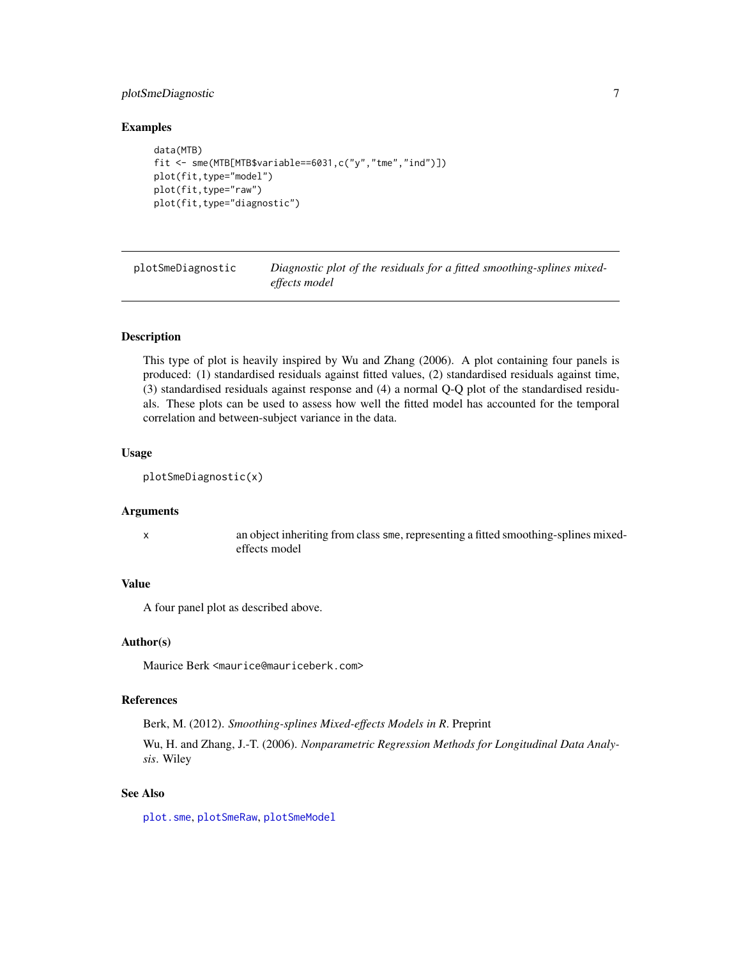## <span id="page-6-0"></span>plotSmeDiagnostic 7

#### Examples

```
data(MTB)
fit <- sme(MTB[MTB$variable==6031,c("y","tme","ind")])
plot(fit,type="model")
plot(fit,type="raw")
plot(fit,type="diagnostic")
```
<span id="page-6-1"></span>plotSmeDiagnostic *Diagnostic plot of the residuals for a fitted smoothing-splines mixedeffects model*

## Description

This type of plot is heavily inspired by Wu and Zhang (2006). A plot containing four panels is produced: (1) standardised residuals against fitted values, (2) standardised residuals against time, (3) standardised residuals against response and (4) a normal Q-Q plot of the standardised residuals. These plots can be used to assess how well the fitted model has accounted for the temporal correlation and between-subject variance in the data.

#### Usage

```
plotSmeDiagnostic(x)
```
## Arguments

x an object inheriting from class sme, representing a fitted smoothing-splines mixedeffects model

#### Value

A four panel plot as described above.

#### Author(s)

Maurice Berk <maurice@mauriceberk.com>

## References

Berk, M. (2012). *Smoothing-splines Mixed-effects Models in R*. Preprint

Wu, H. and Zhang, J.-T. (2006). *Nonparametric Regression Methods for Longitudinal Data Analysis*. Wiley

## See Also

[plot.sme](#page-5-1), [plotSmeRaw](#page-8-1), [plotSmeModel](#page-7-1)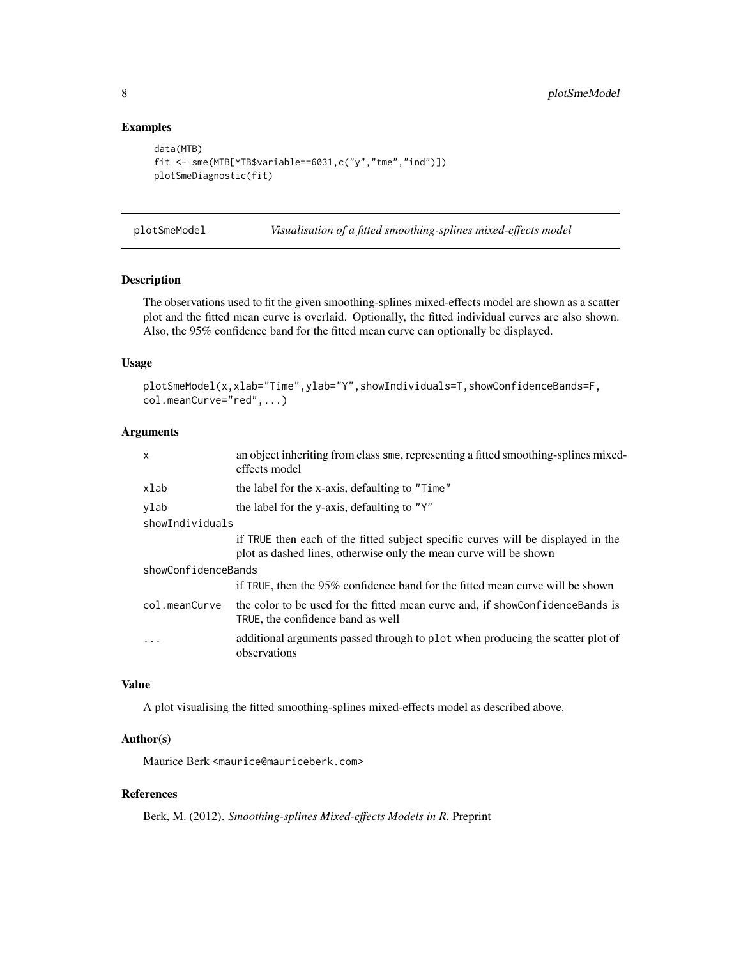## Examples

```
data(MTB)
fit <- sme(MTB[MTB$variable==6031,c("y","tme","ind")])
plotSmeDiagnostic(fit)
```
<span id="page-7-1"></span>plotSmeModel *Visualisation of a fitted smoothing-splines mixed-effects model*

#### Description

The observations used to fit the given smoothing-splines mixed-effects model are shown as a scatter plot and the fitted mean curve is overlaid. Optionally, the fitted individual curves are also shown. Also, the 95% confidence band for the fitted mean curve can optionally be displayed.

## Usage

```
plotSmeModel(x,xlab="Time",ylab="Y",showIndividuals=T,showConfidenceBands=F,
col.meanCurve="red",...)
```
## Arguments

| the label for the x-axis, defaulting to "Time"<br>xlab<br>the label for the y-axis, defaulting to "Y"<br>ylab<br>showIndividuals<br>plot as dashed lines, otherwise only the mean curve will be shown<br>showConfidenceBands<br>col.meanCurve<br>TRUE, the confidence band as well<br>$\cdot$<br>observations | x | an object inheriting from class sme, representing a fitted smoothing-splines mixed-<br>effects model |  |  |  |  |  |
|---------------------------------------------------------------------------------------------------------------------------------------------------------------------------------------------------------------------------------------------------------------------------------------------------------------|---|------------------------------------------------------------------------------------------------------|--|--|--|--|--|
|                                                                                                                                                                                                                                                                                                               |   |                                                                                                      |  |  |  |  |  |
|                                                                                                                                                                                                                                                                                                               |   |                                                                                                      |  |  |  |  |  |
|                                                                                                                                                                                                                                                                                                               |   |                                                                                                      |  |  |  |  |  |
|                                                                                                                                                                                                                                                                                                               |   | if TRUE then each of the fitted subject specific curves will be displayed in the                     |  |  |  |  |  |
|                                                                                                                                                                                                                                                                                                               |   |                                                                                                      |  |  |  |  |  |
|                                                                                                                                                                                                                                                                                                               |   | if TRUE, then the 95% confidence band for the fitted mean curve will be shown                        |  |  |  |  |  |
|                                                                                                                                                                                                                                                                                                               |   | the color to be used for the fitted mean curve and, if showConfidenceBands is                        |  |  |  |  |  |
|                                                                                                                                                                                                                                                                                                               |   | additional arguments passed through to plot when producing the scatter plot of                       |  |  |  |  |  |

## Value

A plot visualising the fitted smoothing-splines mixed-effects model as described above.

## Author(s)

Maurice Berk <maurice@mauriceberk.com>

## References

Berk, M. (2012). *Smoothing-splines Mixed-effects Models in R*. Preprint

<span id="page-7-0"></span>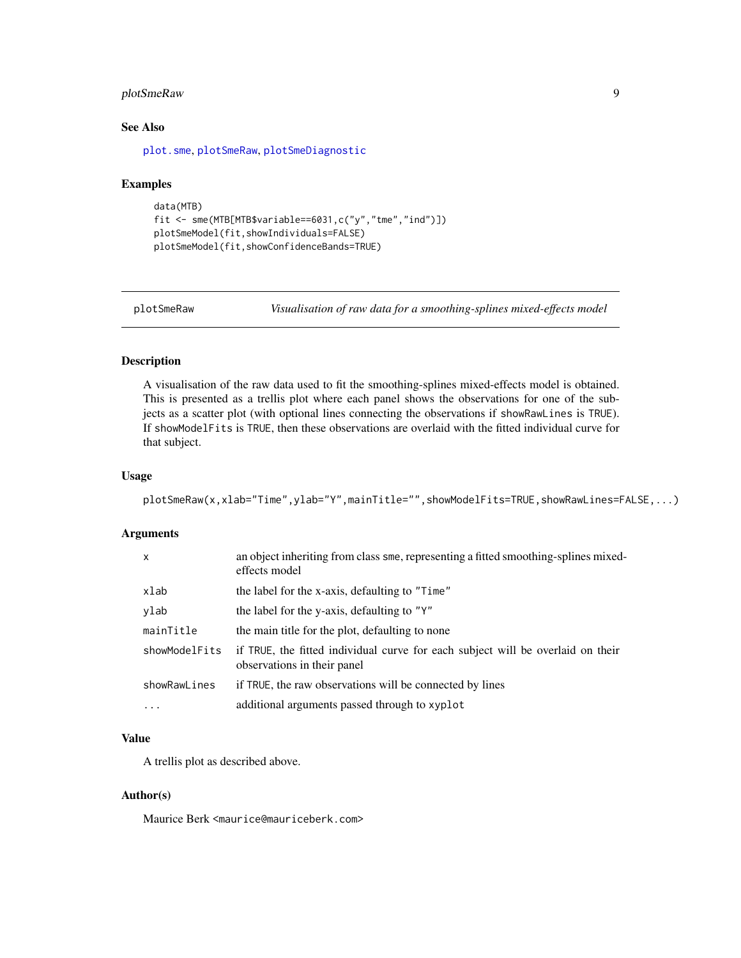## <span id="page-8-0"></span>plotSmeRaw 9

## See Also

[plot.sme](#page-5-1), [plotSmeRaw](#page-8-1), [plotSmeDiagnostic](#page-6-1)

#### Examples

```
data(MTB)
fit <- sme(MTB[MTB$variable==6031,c("y","tme","ind")])
plotSmeModel(fit,showIndividuals=FALSE)
plotSmeModel(fit,showConfidenceBands=TRUE)
```
<span id="page-8-1"></span>plotSmeRaw *Visualisation of raw data for a smoothing-splines mixed-effects model*

#### Description

A visualisation of the raw data used to fit the smoothing-splines mixed-effects model is obtained. This is presented as a trellis plot where each panel shows the observations for one of the subjects as a scatter plot (with optional lines connecting the observations if showRawLines is TRUE). If showModelFits is TRUE, then these observations are overlaid with the fitted individual curve for that subject.

#### Usage

```
plotSmeRaw(x,xlab="Time",ylab="Y",mainTitle="",showModelFits=TRUE,showRawLines=FALSE,...)
```
## Arguments

| x             | an object inheriting from class sme, representing a fitted smoothing-splines mixed-<br>effects model           |
|---------------|----------------------------------------------------------------------------------------------------------------|
| xlab          | the label for the x-axis, defaulting to "Time"                                                                 |
| ylab          | the label for the y-axis, defaulting to "Y"                                                                    |
| mainTitle     | the main title for the plot, defaulting to none                                                                |
| showModelFits | if TRUE, the fitted individual curve for each subject will be overlaid on their<br>observations in their panel |
| showRawLines  | if TRUE, the raw observations will be connected by lines                                                       |
| $\ddots$      | additional arguments passed through to xyplot                                                                  |

## Value

A trellis plot as described above.

## Author(s)

Maurice Berk <maurice@mauriceberk.com>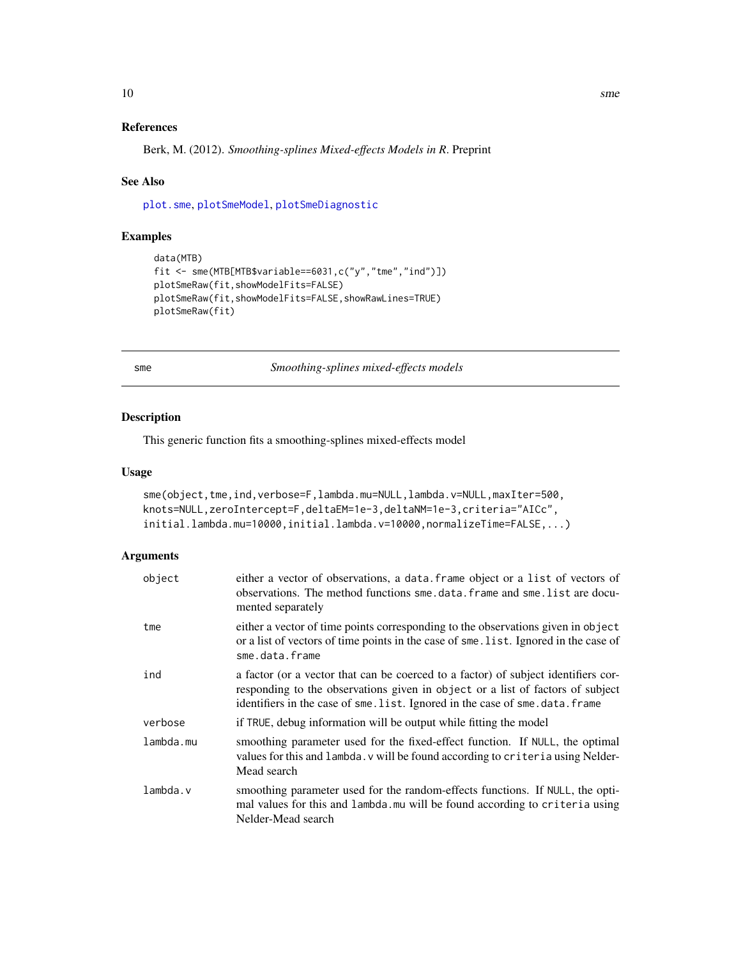## <span id="page-9-0"></span>References

Berk, M. (2012). *Smoothing-splines Mixed-effects Models in R*. Preprint

#### See Also

[plot.sme](#page-5-1), [plotSmeModel](#page-7-1), [plotSmeDiagnostic](#page-6-1)

## Examples

```
data(MTB)
fit <- sme(MTB[MTB$variable==6031,c("y","tme","ind")])
plotSmeRaw(fit,showModelFits=FALSE)
plotSmeRaw(fit,showModelFits=FALSE,showRawLines=TRUE)
plotSmeRaw(fit)
```
<span id="page-9-1"></span>sme *Smoothing-splines mixed-effects models*

## Description

This generic function fits a smoothing-splines mixed-effects model

## Usage

```
sme(object,tme,ind,verbose=F,lambda.mu=NULL,lambda.v=NULL,maxIter=500,
knots=NULL,zeroIntercept=F,deltaEM=1e-3,deltaNM=1e-3,criteria="AICc",
initial.lambda.mu=10000,initial.lambda.v=10000,normalizeTime=FALSE,...)
```
## Arguments

| object    | either a vector of observations, a data. frame object or a list of vectors of<br>observations. The method functions sme. data. frame and sme. list are docu-<br>mented separately                                                                     |
|-----------|-------------------------------------------------------------------------------------------------------------------------------------------------------------------------------------------------------------------------------------------------------|
| tme       | either a vector of time points corresponding to the observations given in object<br>or a list of vectors of time points in the case of sme. list. Ignored in the case of<br>sme.data.frame                                                            |
| ind       | a factor (or a vector that can be coerced to a factor) of subject identifiers cor-<br>responding to the observations given in object or a list of factors of subject<br>identifiers in the case of sme. list. Ignored in the case of sme. data. frame |
| verbose   | if TRUE, debug information will be output while fitting the model                                                                                                                                                                                     |
| lambda.mu | smoothing parameter used for the fixed-effect function. If NULL, the optimal<br>values for this and lambda. v will be found according to criteria using Nelder-<br>Mead search                                                                        |
| lambda.v  | smoothing parameter used for the random-effects functions. If NULL, the opti-<br>mal values for this and lambda. mu will be found according to criteria using<br>Nelder-Mead search                                                                   |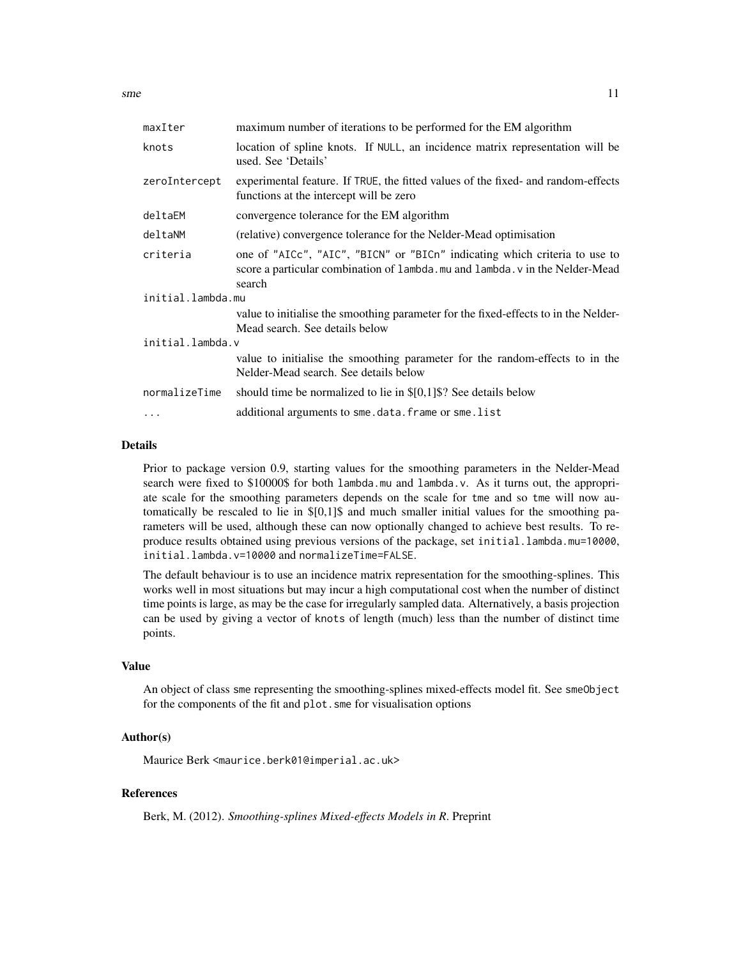$s$ me  $11$ 

| maximum number of iterations to be performed for the EM algorithm                                                                                                   |  |  |  |  |  |
|---------------------------------------------------------------------------------------------------------------------------------------------------------------------|--|--|--|--|--|
| location of spline knots. If NULL, an incidence matrix representation will be<br>used. See 'Details'                                                                |  |  |  |  |  |
| experimental feature. If TRUE, the fitted values of the fixed- and random-effects<br>functions at the intercept will be zero                                        |  |  |  |  |  |
| convergence tolerance for the EM algorithm                                                                                                                          |  |  |  |  |  |
| (relative) convergence tolerance for the Nelder-Mead optimisation                                                                                                   |  |  |  |  |  |
| one of "AICc", "AIC", "BICN" or "BICn" indicating which criteria to use to<br>score a particular combination of lambda.mu and lambda.v in the Nelder-Mead<br>search |  |  |  |  |  |
| initial.lambda.mu                                                                                                                                                   |  |  |  |  |  |
| value to initialise the smoothing parameter for the fixed-effects to in the Nelder-<br>Mead search. See details below                                               |  |  |  |  |  |
| initial.lambda.v                                                                                                                                                    |  |  |  |  |  |
| value to initialise the smoothing parameter for the random-effects to in the<br>Nelder-Mead search. See details below                                               |  |  |  |  |  |
| should time be normalized to lie in $\S[0,1]\$ ? See details below                                                                                                  |  |  |  |  |  |
| additional arguments to sme.data.frame or sme.list                                                                                                                  |  |  |  |  |  |
|                                                                                                                                                                     |  |  |  |  |  |

## Details

Prior to package version 0.9, starting values for the smoothing parameters in the Nelder-Mead search were fixed to \$10000\$ for both lambda.mu and lambda.v. As it turns out, the appropriate scale for the smoothing parameters depends on the scale for tme and so tme will now automatically be rescaled to lie in \$[0,1]\$ and much smaller initial values for the smoothing parameters will be used, although these can now optionally changed to achieve best results. To reproduce results obtained using previous versions of the package, set initial.lambda.mu=10000, initial.lambda.v=10000 and normalizeTime=FALSE.

The default behaviour is to use an incidence matrix representation for the smoothing-splines. This works well in most situations but may incur a high computational cost when the number of distinct time points is large, as may be the case for irregularly sampled data. Alternatively, a basis projection can be used by giving a vector of knots of length (much) less than the number of distinct time points.

#### Value

An object of class sme representing the smoothing-splines mixed-effects model fit. See smeObject for the components of the fit and plot.sme for visualisation options

#### Author(s)

Maurice Berk <maurice.berk01@imperial.ac.uk>

## References

Berk, M. (2012). *Smoothing-splines Mixed-effects Models in R*. Preprint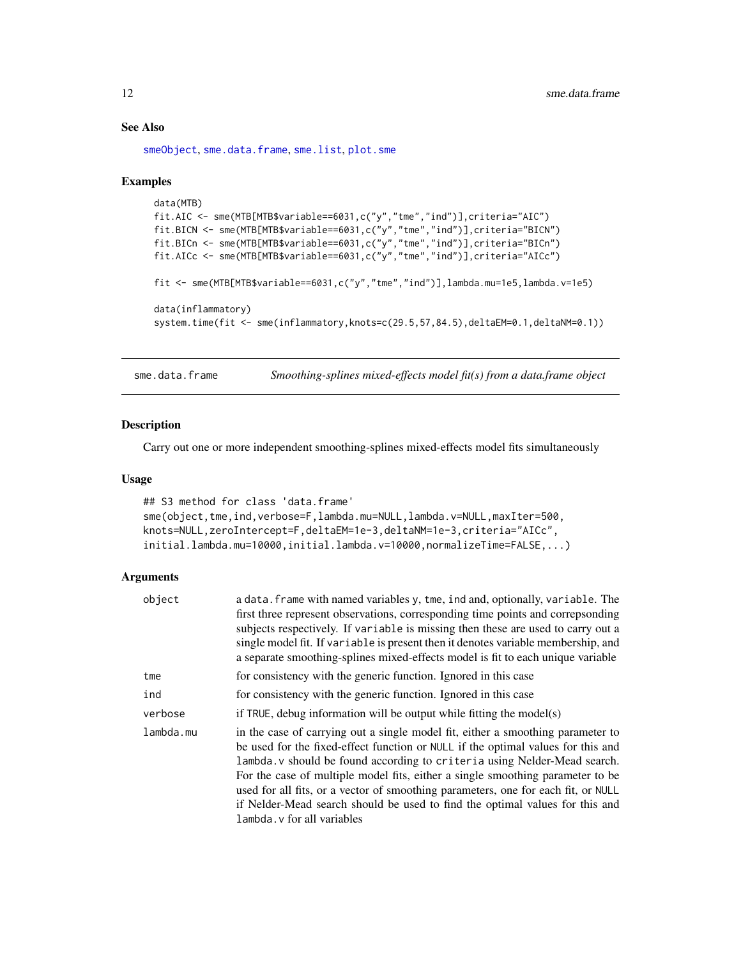## See Also

[smeObject](#page-15-1), [sme.data.frame](#page-11-1), [sme.list](#page-13-1), [plot.sme](#page-5-1)

#### Examples

```
data(MTB)
fit.AIC <- sme(MTB[MTB$variable==6031,c("y","tme","ind")],criteria="AIC")
fit.BICN <- sme(MTB[MTB$variable==6031,c("y","tme","ind")],criteria="BICN")
fit.BICn <- sme(MTB[MTB$variable==6031,c("y","tme","ind")],criteria="BICn")
fit.AICc <- sme(MTB[MTB$variable==6031,c("y","tme","ind")],criteria="AICc")
fit <- sme(MTB[MTB$variable==6031,c("y","tme","ind")],lambda.mu=1e5,lambda.v=1e5)
data(inflammatory)
system.time(fit <- sme(inflammatory,knots=c(29.5,57,84.5),deltaEM=0.1,deltaNM=0.1))
```
<span id="page-11-1"></span>sme.data.frame *Smoothing-splines mixed-effects model fit(s) from a data.frame object*

#### Description

Carry out one or more independent smoothing-splines mixed-effects model fits simultaneously

#### Usage

```
## S3 method for class 'data.frame'
sme(object,tme,ind,verbose=F,lambda.mu=NULL,lambda.v=NULL,maxIter=500,
knots=NULL,zeroIntercept=F,deltaEM=1e-3,deltaNM=1e-3,criteria="AICc",
initial.lambda.mu=10000,initial.lambda.v=10000,normalizeTime=FALSE,...)
```
#### Arguments

| object    | a data. frame with named variables y, tme, ind and, optionally, variable. The<br>first three represent observations, corresponding time points and correpsonding<br>subjects respectively. If variable is missing then these are used to carry out a<br>single model fit. If variable is present then it denotes variable membership, and<br>a separate smoothing-splines mixed-effects model is fit to each unique variable                                                                                                           |
|-----------|----------------------------------------------------------------------------------------------------------------------------------------------------------------------------------------------------------------------------------------------------------------------------------------------------------------------------------------------------------------------------------------------------------------------------------------------------------------------------------------------------------------------------------------|
| tme       | for consistency with the generic function. Ignored in this case                                                                                                                                                                                                                                                                                                                                                                                                                                                                        |
| ind       | for consistency with the generic function. Ignored in this case                                                                                                                                                                                                                                                                                                                                                                                                                                                                        |
| verbose   | if TRUE, debug information will be output while fitting the model(s)                                                                                                                                                                                                                                                                                                                                                                                                                                                                   |
| lambda.mu | in the case of carrying out a single model fit, either a smoothing parameter to<br>be used for the fixed-effect function or NULL if the optimal values for this and<br>lambda. v should be found according to criteria using Nelder-Mead search.<br>For the case of multiple model fits, either a single smoothing parameter to be<br>used for all fits, or a vector of smoothing parameters, one for each fit, or NULL<br>if Nelder-Mead search should be used to find the optimal values for this and<br>lambda. v for all variables |

<span id="page-11-0"></span>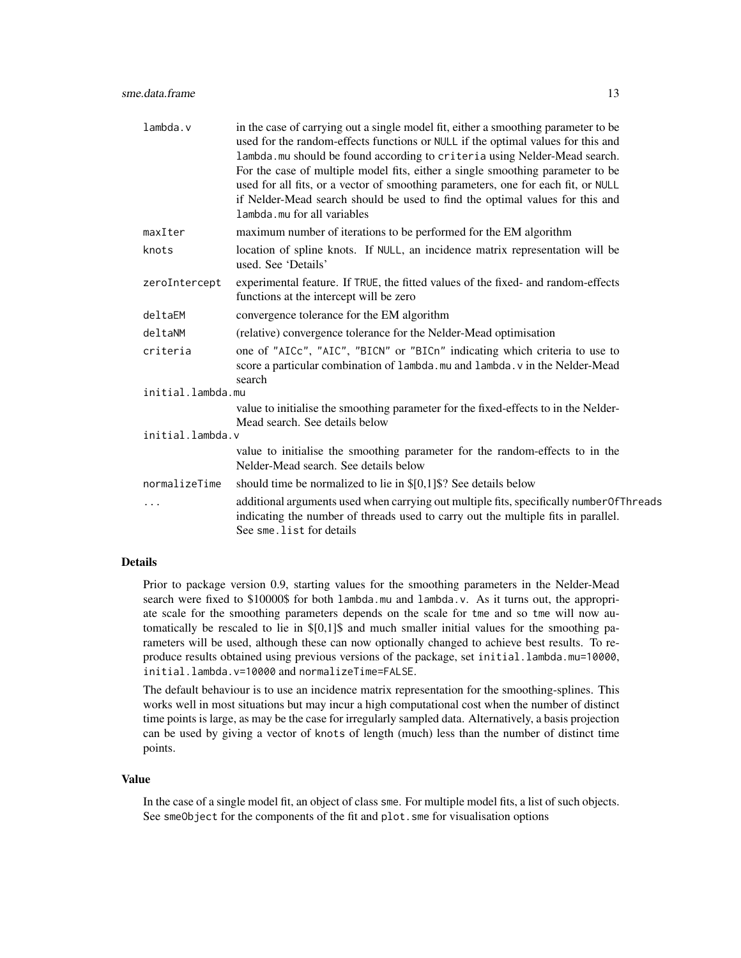| lambda.v          | in the case of carrying out a single model fit, either a smoothing parameter to be<br>used for the random-effects functions or NULL if the optimal values for this and<br>lambda. mu should be found according to criteria using Nelder-Mead search.<br>For the case of multiple model fits, either a single smoothing parameter to be<br>used for all fits, or a vector of smoothing parameters, one for each fit, or NULL<br>if Nelder-Mead search should be used to find the optimal values for this and<br>lambda.mu for all variables |  |  |  |  |  |
|-------------------|--------------------------------------------------------------------------------------------------------------------------------------------------------------------------------------------------------------------------------------------------------------------------------------------------------------------------------------------------------------------------------------------------------------------------------------------------------------------------------------------------------------------------------------------|--|--|--|--|--|
| maxIter           | maximum number of iterations to be performed for the EM algorithm                                                                                                                                                                                                                                                                                                                                                                                                                                                                          |  |  |  |  |  |
| knots             | location of spline knots. If NULL, an incidence matrix representation will be<br>used. See 'Details'                                                                                                                                                                                                                                                                                                                                                                                                                                       |  |  |  |  |  |
| zeroIntercept     | experimental feature. If TRUE, the fitted values of the fixed- and random-effects<br>functions at the intercept will be zero                                                                                                                                                                                                                                                                                                                                                                                                               |  |  |  |  |  |
| deltaEM           | convergence tolerance for the EM algorithm                                                                                                                                                                                                                                                                                                                                                                                                                                                                                                 |  |  |  |  |  |
| deltaNM           | (relative) convergence tolerance for the Nelder-Mead optimisation                                                                                                                                                                                                                                                                                                                                                                                                                                                                          |  |  |  |  |  |
| criteria          | one of "AICc", "AIC", "BICN" or "BICn" indicating which criteria to use to<br>score a particular combination of lambda.mu and lambda.v in the Nelder-Mead<br>search                                                                                                                                                                                                                                                                                                                                                                        |  |  |  |  |  |
| initial.lambda.mu |                                                                                                                                                                                                                                                                                                                                                                                                                                                                                                                                            |  |  |  |  |  |
|                   | value to initialise the smoothing parameter for the fixed-effects to in the Nelder-<br>Mead search. See details below                                                                                                                                                                                                                                                                                                                                                                                                                      |  |  |  |  |  |
| initial.lambda.v  |                                                                                                                                                                                                                                                                                                                                                                                                                                                                                                                                            |  |  |  |  |  |
|                   | value to initialise the smoothing parameter for the random-effects to in the<br>Nelder-Mead search. See details below                                                                                                                                                                                                                                                                                                                                                                                                                      |  |  |  |  |  |
| normalizeTime     | should time be normalized to lie in $\S[0,1]\$ ? See details below                                                                                                                                                                                                                                                                                                                                                                                                                                                                         |  |  |  |  |  |
| .                 | additional arguments used when carrying out multiple fits, specifically numberOfThreads<br>indicating the number of threads used to carry out the multiple fits in parallel.<br>See sme.list for details                                                                                                                                                                                                                                                                                                                                   |  |  |  |  |  |

#### Details

Prior to package version 0.9, starting values for the smoothing parameters in the Nelder-Mead search were fixed to \$10000\$ for both lambda.mu and lambda.v. As it turns out, the appropriate scale for the smoothing parameters depends on the scale for tme and so tme will now automatically be rescaled to lie in \$[0,1]\$ and much smaller initial values for the smoothing parameters will be used, although these can now optionally changed to achieve best results. To reproduce results obtained using previous versions of the package, set initial.lambda.mu=10000, initial.lambda.v=10000 and normalizeTime=FALSE.

The default behaviour is to use an incidence matrix representation for the smoothing-splines. This works well in most situations but may incur a high computational cost when the number of distinct time points is large, as may be the case for irregularly sampled data. Alternatively, a basis projection can be used by giving a vector of knots of length (much) less than the number of distinct time points.

#### Value

In the case of a single model fit, an object of class sme. For multiple model fits, a list of such objects. See smeObject for the components of the fit and plot.sme for visualisation options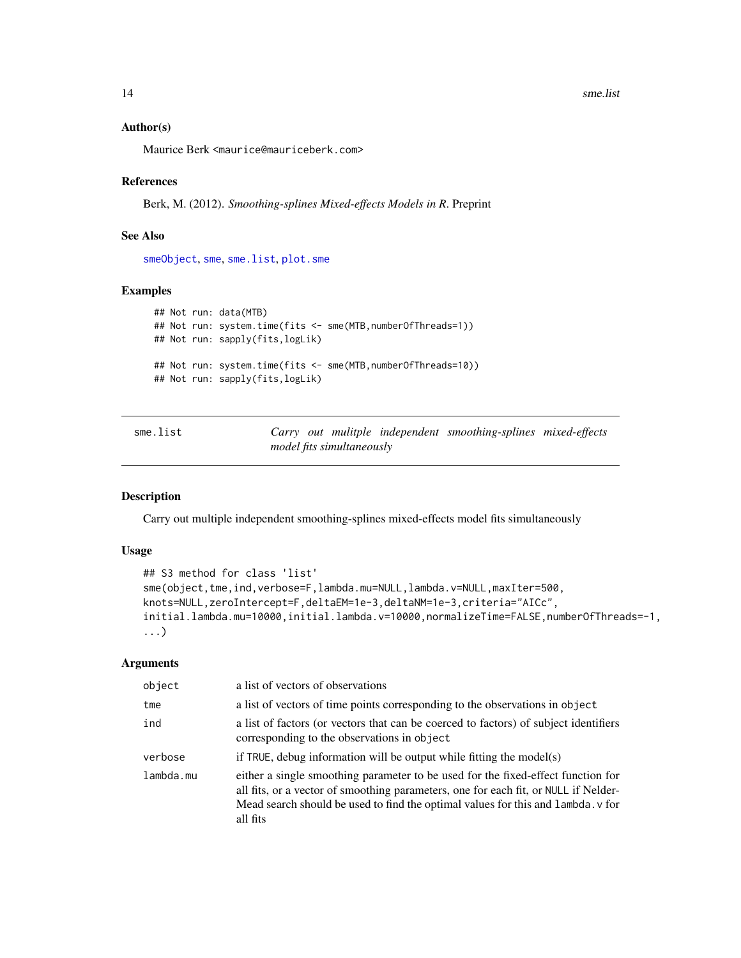#### <span id="page-13-0"></span>Author(s)

Maurice Berk <maurice@mauriceberk.com>

#### References

Berk, M. (2012). *Smoothing-splines Mixed-effects Models in R*. Preprint

#### See Also

[smeObject](#page-15-1), [sme](#page-9-1), [sme.list](#page-13-1), [plot.sme](#page-5-1)

#### Examples

```
## Not run: data(MTB)
## Not run: system.time(fits <- sme(MTB,numberOfThreads=1))
## Not run: sapply(fits,logLik)
## Not run: system.time(fits <- sme(MTB,numberOfThreads=10))
## Not run: sapply(fits,logLik)
```
<span id="page-13-1"></span>

| sme.list |  |                           | Carry out mulitple independent smoothing-splines mixed-effects |  |
|----------|--|---------------------------|----------------------------------------------------------------|--|
|          |  | model fits simultaneously |                                                                |  |

## Description

Carry out multiple independent smoothing-splines mixed-effects model fits simultaneously

#### Usage

```
## S3 method for class 'list'
sme(object,tme,ind,verbose=F,lambda.mu=NULL,lambda.v=NULL,maxIter=500,
knots=NULL,zeroIntercept=F,deltaEM=1e-3,deltaNM=1e-3,criteria="AICc",
initial.lambda.mu=10000,initial.lambda.v=10000,normalizeTime=FALSE,numberOfThreads=-1,
...)
```
#### **Arguments**

| object    | a list of vectors of observations                                                                                                                                                                                                                                       |  |  |  |  |
|-----------|-------------------------------------------------------------------------------------------------------------------------------------------------------------------------------------------------------------------------------------------------------------------------|--|--|--|--|
| tme       | a list of vectors of time points corresponding to the observations in object                                                                                                                                                                                            |  |  |  |  |
| ind       | a list of factors (or vectors that can be coerced to factors) of subject identifiers<br>corresponding to the observations in object                                                                                                                                     |  |  |  |  |
| verbose   | if TRUE, debug information will be output while fitting the model(s)                                                                                                                                                                                                    |  |  |  |  |
| lambda.mu | either a single smoothing parameter to be used for the fixed-effect function for<br>all fits, or a vector of smoothing parameters, one for each fit, or NULL if Nelder-<br>Mead search should be used to find the optimal values for this and lambda. v for<br>all fits |  |  |  |  |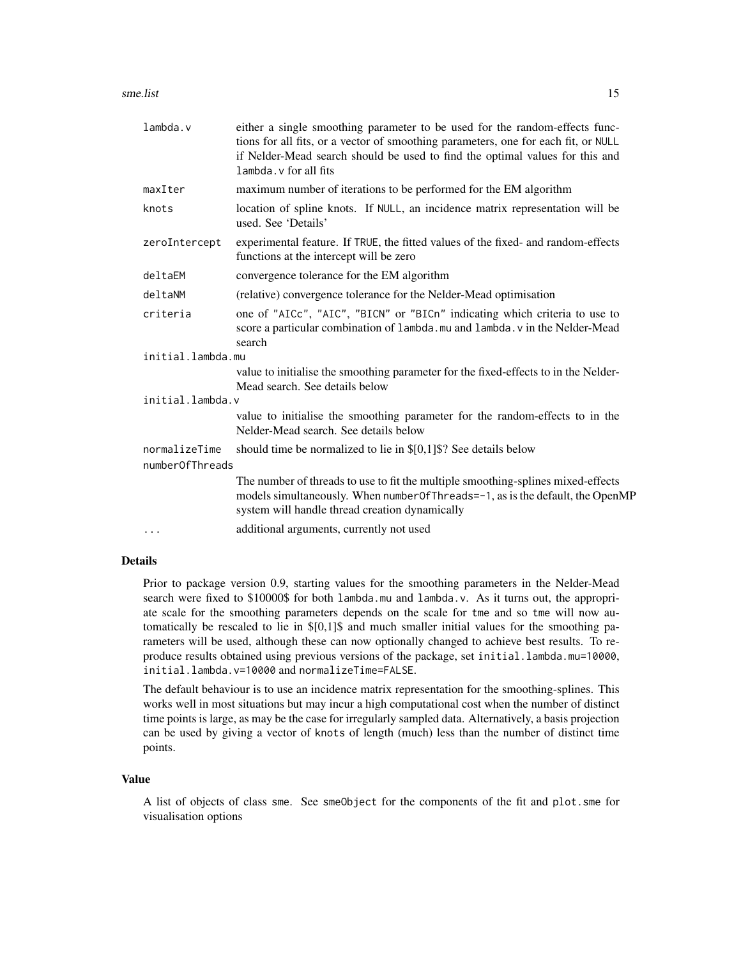| sme.list | 15 |
|----------|----|
|          |    |

| $l$ ambda. $v$                   | either a single smoothing parameter to be used for the random-effects func-<br>tions for all fits, or a vector of smoothing parameters, one for each fit, or NULL<br>if Nelder-Mead search should be used to find the optimal values for this and<br>lambda. v for all fits |  |
|----------------------------------|-----------------------------------------------------------------------------------------------------------------------------------------------------------------------------------------------------------------------------------------------------------------------------|--|
| maxIter                          | maximum number of iterations to be performed for the EM algorithm                                                                                                                                                                                                           |  |
| knots                            | location of spline knots. If NULL, an incidence matrix representation will be<br>used. See 'Details'                                                                                                                                                                        |  |
| zeroIntercept                    | experimental feature. If TRUE, the fitted values of the fixed- and random-effects<br>functions at the intercept will be zero                                                                                                                                                |  |
| deltaEM                          | convergence tolerance for the EM algorithm                                                                                                                                                                                                                                  |  |
| deltaNM                          | (relative) convergence tolerance for the Nelder-Mead optimisation                                                                                                                                                                                                           |  |
| criteria                         | one of "AICc", "AIC", "BICN" or "BICn" indicating which criteria to use to<br>score a particular combination of lambda.mu and lambda.v in the Nelder-Mead<br>search                                                                                                         |  |
| initial.lambda.mu                |                                                                                                                                                                                                                                                                             |  |
|                                  | value to initialise the smoothing parameter for the fixed-effects to in the Nelder-<br>Mead search. See details below                                                                                                                                                       |  |
| initial.lambda.v                 |                                                                                                                                                                                                                                                                             |  |
|                                  | value to initialise the smoothing parameter for the random-effects to in the<br>Nelder-Mead search. See details below                                                                                                                                                       |  |
| normalizeTime<br>numberOfThreads | should time be normalized to lie in $\S[0,1]\$ ? See details below                                                                                                                                                                                                          |  |
|                                  | The number of threads to use to fit the multiple smoothing-splines mixed-effects<br>models simultaneously. When number Of Threads = -1, as is the default, the OpenMP<br>system will handle thread creation dynamically                                                     |  |
| $\cdots$                         | additional arguments, currently not used                                                                                                                                                                                                                                    |  |

## Details

Prior to package version 0.9, starting values for the smoothing parameters in the Nelder-Mead search were fixed to \$10000\$ for both lambda.mu and lambda.v. As it turns out, the appropriate scale for the smoothing parameters depends on the scale for tme and so tme will now automatically be rescaled to lie in \$[0,1]\$ and much smaller initial values for the smoothing parameters will be used, although these can now optionally changed to achieve best results. To reproduce results obtained using previous versions of the package, set initial.lambda.mu=10000, initial.lambda.v=10000 and normalizeTime=FALSE.

The default behaviour is to use an incidence matrix representation for the smoothing-splines. This works well in most situations but may incur a high computational cost when the number of distinct time points is large, as may be the case for irregularly sampled data. Alternatively, a basis projection can be used by giving a vector of knots of length (much) less than the number of distinct time points.

#### Value

A list of objects of class sme. See smeObject for the components of the fit and plot.sme for visualisation options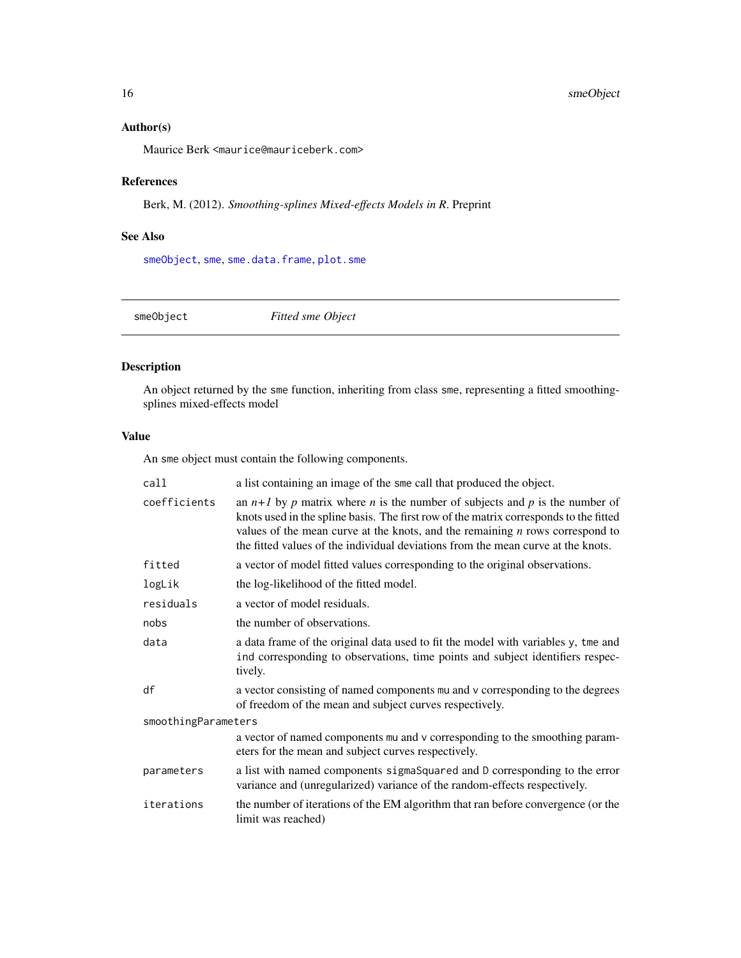## <span id="page-15-0"></span>Author(s)

Maurice Berk <maurice@mauriceberk.com>

## References

Berk, M. (2012). *Smoothing-splines Mixed-effects Models in R*. Preprint

## See Also

[smeObject](#page-15-1), [sme](#page-9-1), [sme.data.frame](#page-11-1), [plot.sme](#page-5-1)

<span id="page-15-1"></span>

smeObject *Fitted sme Object*

## Description

An object returned by the sme function, inheriting from class sme, representing a fitted smoothingsplines mixed-effects model

## Value

An sme object must contain the following components.

| call                | a list containing an image of the sme call that produced the object.                                                                                                                                                                                                                                                                          |  |
|---------------------|-----------------------------------------------------------------------------------------------------------------------------------------------------------------------------------------------------------------------------------------------------------------------------------------------------------------------------------------------|--|
| coefficients        | an $n+1$ by p matrix where n is the number of subjects and p is the number of<br>knots used in the spline basis. The first row of the matrix corresponds to the fitted<br>values of the mean curve at the knots, and the remaining $n$ rows correspond to<br>the fitted values of the individual deviations from the mean curve at the knots. |  |
| fitted              | a vector of model fitted values corresponding to the original observations.                                                                                                                                                                                                                                                                   |  |
| logLik              | the log-likelihood of the fitted model.                                                                                                                                                                                                                                                                                                       |  |
| residuals           | a vector of model residuals.                                                                                                                                                                                                                                                                                                                  |  |
| nobs                | the number of observations.                                                                                                                                                                                                                                                                                                                   |  |
| data                | a data frame of the original data used to fit the model with variables y, tme and<br>ind corresponding to observations, time points and subject identifiers respec-<br>tively.                                                                                                                                                                |  |
| df                  | a vector consisting of named components mu and v corresponding to the degrees<br>of freedom of the mean and subject curves respectively.                                                                                                                                                                                                      |  |
| smoothingParameters |                                                                                                                                                                                                                                                                                                                                               |  |
|                     | a vector of named components mu and v corresponding to the smoothing param-<br>eters for the mean and subject curves respectively.                                                                                                                                                                                                            |  |
| parameters          | a list with named components sigmaSquared and D corresponding to the error<br>variance and (unregularized) variance of the random-effects respectively.                                                                                                                                                                                       |  |
| iterations          | the number of iterations of the EM algorithm that ran before convergence (or the<br>limit was reached)                                                                                                                                                                                                                                        |  |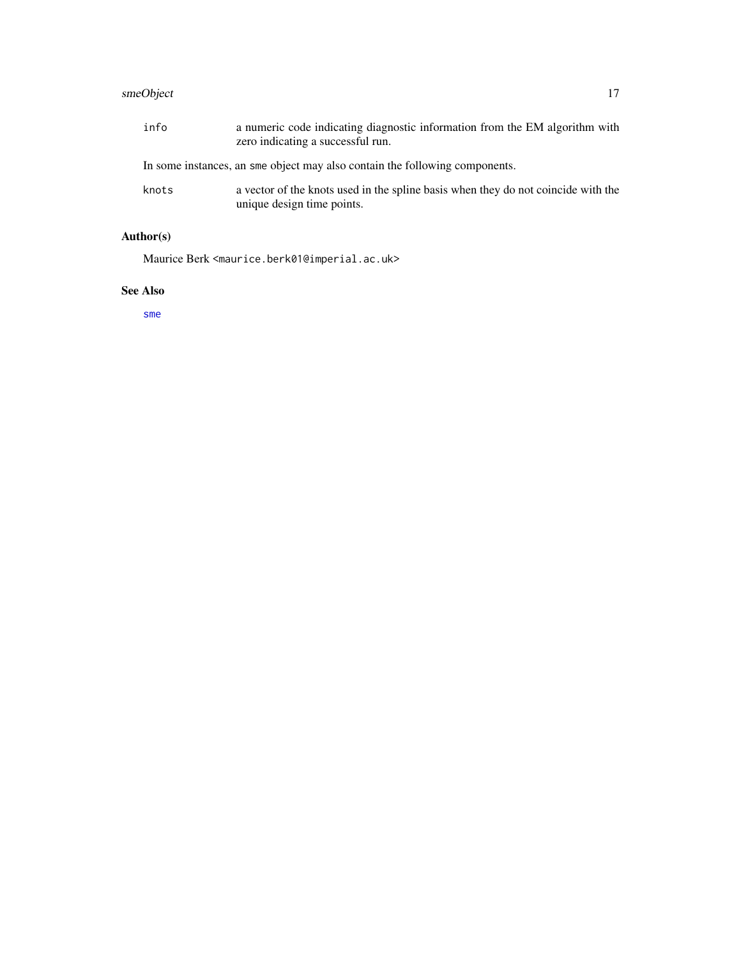## <span id="page-16-0"></span>smeObject 17

| info  | a numeric code indicating diagnostic information from the EM algorithm with<br>zero indicating a successful run. |
|-------|------------------------------------------------------------------------------------------------------------------|
|       | In some instances, an sme object may also contain the following components.                                      |
| knots | a vector of the knots used in the spline basis when they do not coincide with the<br>unique design time points.  |

# Author(s)

Maurice Berk <maurice.berk01@imperial.ac.uk>

## See Also

[sme](#page-9-1)